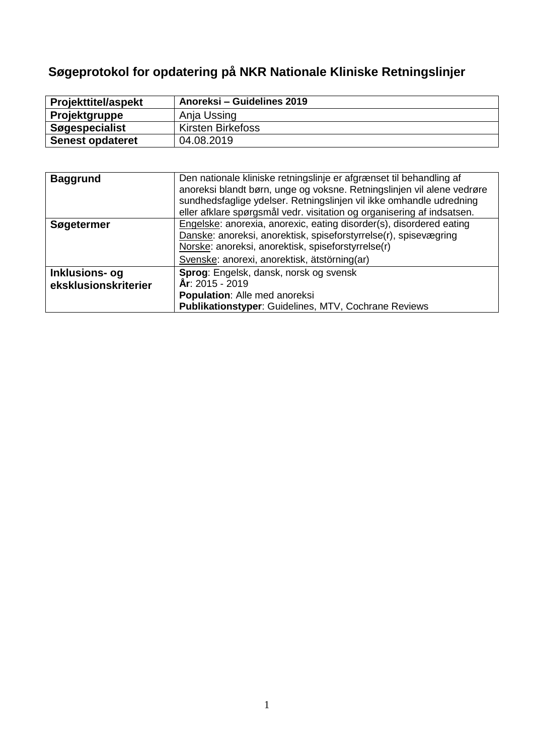# **Søgeprotokol for opdatering på NKR Nationale Kliniske Retningslinjer**

| <b>Projekttitel/aspekt</b> | Anoreksi – Guidelines 2019 |
|----------------------------|----------------------------|
| Projektgruppe              | Anja Ussing                |
| <b>Søgespecialist</b>      | <b>Kirsten Birkefoss</b>   |
| <b>Senest opdateret</b>    | 04.08.2019                 |

| <b>Baggrund</b>       | Den nationale kliniske retningslinje er afgrænset til behandling af    |
|-----------------------|------------------------------------------------------------------------|
|                       | anoreksi blandt børn, unge og voksne. Retningslinjen vil alene vedrøre |
|                       | sundhedsfaglige ydelser. Retningslinjen vil ikke omhandle udredning    |
|                       | eller afklare spørgsmål vedr. visitation og organisering af indsatsen. |
| Søgetermer            | Engelske: anorexia, anorexic, eating disorder(s), disordered eating    |
|                       | Danske: anoreksi, anorektisk, spiseforstyrrelse(r), spisevægring       |
|                       | Norske: anoreksi, anorektisk, spiseforstyrrelse(r)                     |
|                       | Svenske: anorexi, anorektisk, ätstörning(ar)                           |
| <b>Inklusions- og</b> | Sprog: Engelsk, dansk, norsk og svensk                                 |
| eksklusionskriterier  | År: 2015 - 2019                                                        |
|                       | Population: Alle med anoreksi                                          |
|                       | <b>Publikationstyper: Guidelines, MTV, Cochrane Reviews</b>            |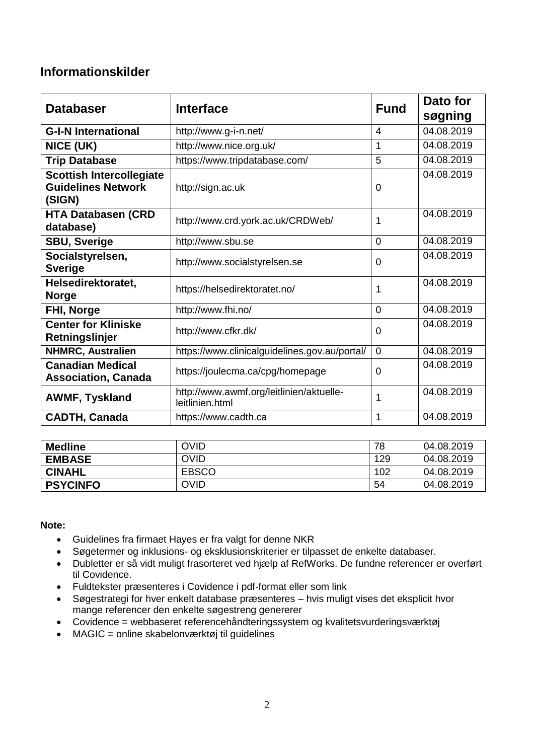# **Informationskilder**

| <b>Databaser</b>                                                       | <b>Interface</b>                                            | <b>Fund</b> | Dato for<br>søgning |
|------------------------------------------------------------------------|-------------------------------------------------------------|-------------|---------------------|
| <b>G-I-N International</b>                                             | http://www.g-i-n.net/                                       | 4           | 04.08.2019          |
| NICE (UK)                                                              | http://www.nice.org.uk/                                     | 1           | 04.08.2019          |
| <b>Trip Database</b>                                                   | https://www.tripdatabase.com/                               | 5           | 04.08.2019          |
| <b>Scottish Intercollegiate</b><br><b>Guidelines Network</b><br>(SIGN) | http://sign.ac.uk                                           | 0           | 04.08.2019          |
| <b>HTA Databasen (CRD</b><br>database)                                 | http://www.crd.york.ac.uk/CRDWeb/                           | 1           | 04.08.2019          |
| <b>SBU, Sverige</b>                                                    | http://www.sbu.se                                           | 0           | 04.08.2019          |
| Socialstyrelsen,<br><b>Sverige</b>                                     | http://www.socialstyrelsen.se                               | 0           | 04.08.2019          |
| Helsedirektoratet,<br><b>Norge</b>                                     | https://helsedirektoratet.no/                               | 1           | 04.08.2019          |
| FHI, Norge                                                             | http://www.fhi.no/                                          | 0           | 04.08.2019          |
| <b>Center for Kliniske</b><br>Retningslinjer                           | http://www.cfkr.dk/                                         | 0           | 04.08.2019          |
| <b>NHMRC, Australien</b>                                               | https://www.clinicalguidelines.gov.au/portal/               | 0           | 04.08.2019          |
| <b>Canadian Medical</b><br><b>Association, Canada</b>                  | https://joulecma.ca/cpg/homepage                            | 0           | 04.08.2019          |
| <b>AWMF, Tyskland</b>                                                  | http://www.awmf.org/leitlinien/aktuelle-<br>leitlinien.html | 1           | 04.08.2019          |
| <b>CADTH, Canada</b>                                                   | https://www.cadth.ca                                        | 1           | 04.08.2019          |

| <b>Medline</b>  | <b>OVID</b>  | 78  | 04.08.2019 |
|-----------------|--------------|-----|------------|
| <b>EMBASE</b>   | <b>OVID</b>  | 129 | 04.08.2019 |
| <b>CINAHL</b>   | <b>EBSCO</b> | 102 | 04.08.2019 |
| <b>PSYCINFO</b> | <b>OVID</b>  | 54  | 04.08.2019 |

**Note:**

- Guidelines fra firmaet Hayes er fra valgt for denne NKR
- Søgetermer og inklusions- og eksklusionskriterier er tilpasset de enkelte databaser.
- Dubletter er så vidt muligt frasorteret ved hjælp af RefWorks. De fundne referencer er overført til Covidence.
- Fuldtekster præsenteres i Covidence i pdf-format eller som link
- Søgestrategi for hver enkelt database præsenteres hvis muligt vises det eksplicit hvor mange referencer den enkelte søgestreng genererer
- Covidence = webbaseret referencehåndteringssystem og kvalitetsvurderingsværktøj
- MAGIC = online skabelonværktøj til guidelines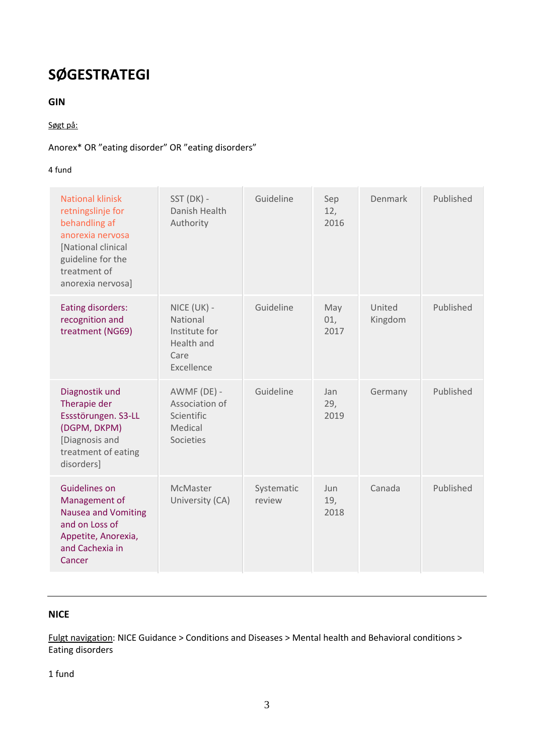# **SØGESTRATEGI**

# **GIN**

## Søgt på:

# Anorex\* OR "eating disorder" OR "eating disorders"

## 4 fund

| <b>National klinisk</b><br>retningslinje for<br>behandling af<br>anorexia nervosa<br>[National clinical<br>guideline for the<br>treatment of<br>anorexia nervosa] | SST (DK) -<br>Danish Health<br>Authority                                            | Guideline            | Sep<br>12,<br>2016 | Denmark           | Published |
|-------------------------------------------------------------------------------------------------------------------------------------------------------------------|-------------------------------------------------------------------------------------|----------------------|--------------------|-------------------|-----------|
| <b>Eating disorders:</b><br>recognition and<br>treatment (NG69)                                                                                                   | NICE (UK) -<br>National<br>Institute for<br><b>Health and</b><br>Care<br>Excellence | Guideline            | May<br>01,<br>2017 | United<br>Kingdom | Published |
| Diagnostik und<br>Therapie der<br>Essstörungen. S3-LL<br>(DGPM, DKPM)<br>[Diagnosis and<br>treatment of eating<br>disorders]                                      | AWMF (DE) -<br>Association of<br>Scientific<br>Medical<br>Societies                 | Guideline            | Jan<br>29,<br>2019 | Germany           | Published |
| Guidelines on<br>Management of<br><b>Nausea and Vomiting</b><br>and on Loss of<br>Appetite, Anorexia,<br>and Cachexia in<br>Cancer                                | McMaster<br>University (CA)                                                         | Systematic<br>review | Jun<br>19,<br>2018 | Canada            | Published |

# **NICE**

Fulgt navigation: NICE Guidance > Conditions and Diseases > Mental health and Behavioral conditions > Eating disorders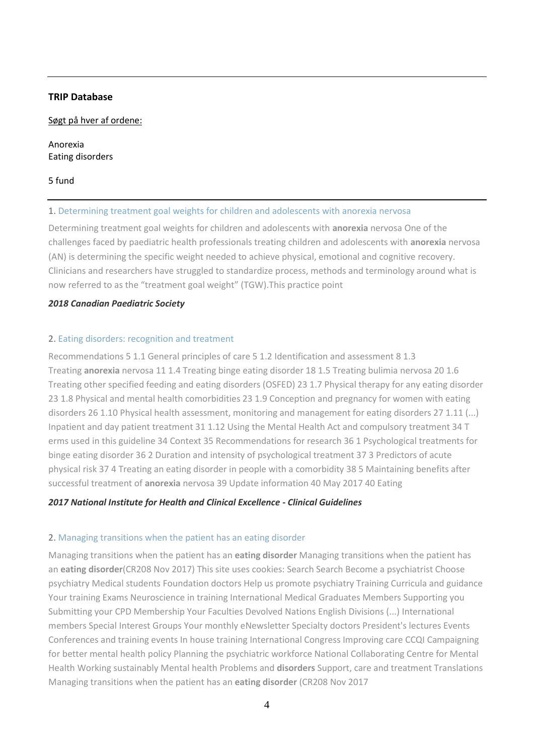## **TRIP Database**

#### Søgt på hver af ordene:

Anorexia Eating disorders

#### 5 fund

#### 1. [Determining treatment goal weights for children and adolescents with anorexia nervosa](https://www.cps.ca/en/documents/position/goal-weights)

Determining treatment goal weights for children and adolescents with **anorexia** nervosa One of the challenges faced by paediatric health professionals treating children and adolescents with **anorexia** nervosa (AN) is determining the specific weight needed to achieve physical, emotional and cognitive recovery. Clinicians and researchers have struggled to standardize process, methods and terminology around what is now referred to as the "treatment goal weight" (TGW).This practice point

#### *2018 [Canadian Paediatric Society](javascript:void(0))*

#### 2. [Eating disorders: recognition and treatment](https://www.nice.org.uk/guidance/ng69/resources/eating-disorders-recognition-and-treatment-pdf-1837582159813)

Recommendations 5 1.1 General principles of care 5 1.2 Identification and assessment 8 1.3 Treating **anorexia** nervosa 11 1.4 Treating binge eating disorder 18 1.5 Treating bulimia nervosa 20 1.6 Treating other specified feeding and eating disorders (OSFED) 23 1.7 Physical therapy for any eating disorder 23 1.8 Physical and mental health comorbidities 23 1.9 Conception and pregnancy for women with eating disorders 26 1.10 Physical health assessment, monitoring and management for eating disorders 27 1.11 (...) Inpatient and day patient treatment 31 1.12 Using the Mental Health Act and compulsory treatment 34 T erms used in this guideline 34 Context 35 Recommendations for research 36 1 Psychological treatments for binge eating disorder 36 2 Duration and intensity of psychological treatment 37 3 Predictors of acute physical risk 37 4 Treating an eating disorder in people with a comorbidity 38 5 Maintaining benefits after successful treatment of **anorexia** nervosa 39 Update information 40 May 2017 40 Eating

## *2017 [National Institute for Health and Clinical Excellence -](javascript:void(0)) Clinical Guidelines*

## 2. [Managing transitions when the patient has an eating disorder](http://rcpsych.ac.uk/usefulresources/publications/collegereports/cr/cr208.aspx)

Managing transitions when the patient has an **eating disorder** Managing transitions when the patient has an **eating disorder**(CR208 Nov 2017) This site uses cookies: Search Search Become a psychiatrist Choose psychiatry Medical students Foundation doctors Help us promote psychiatry Training Curricula and guidance Your training Exams Neuroscience in training International Medical Graduates Members Supporting you Submitting your CPD Membership Your Faculties Devolved Nations English Divisions (...) International members Special Interest Groups Your monthly eNewsletter Specialty doctors President's lectures Events Conferences and training events In house training International Congress Improving care CCQI Campaigning for better mental health policy Planning the psychiatric workforce National Collaborating Centre for Mental Health Working sustainably Mental health Problems and **disorders** Support, care and treatment Translations Managing transitions when the patient has an **eating disorder** (CR208 Nov 2017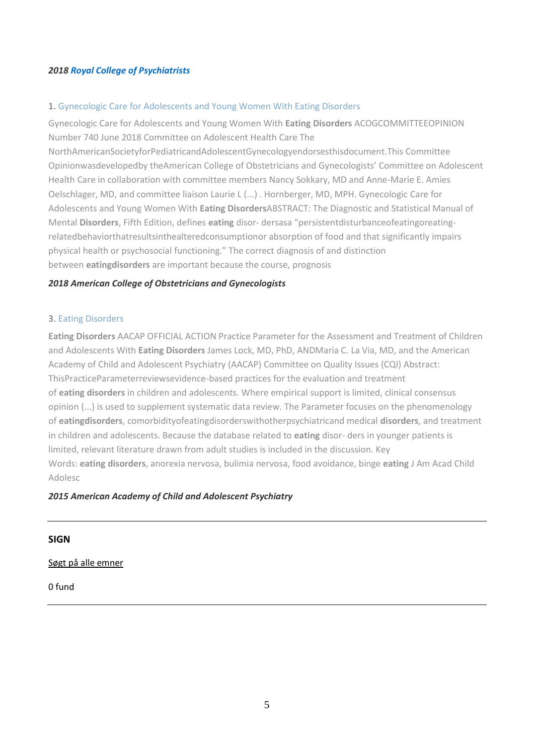## *2018 [Royal College of Psychiatrists](javascript:void(0))*

## 1. [Gynecologic Care for Adolescents and Young Women With Eating Disorders](https://www.acog.org/-/media/Committee-Opinions/Committee-on-Adolescent-Health-Care/co740.pdf?dmc=1&ts=20180615T0538389745)

Gynecologic Care for Adolescents and Young Women With **Eating Disorders** ACOGCOMMITTEEOPINION Number 740 June 2018 Committee on Adolescent Health Care The

NorthAmericanSocietyforPediatricandAdolescentGynecologyendorsesthisdocument.This Committee Opinionwasdevelopedby theAmerican College of Obstetricians and Gynecologists' Committee on Adolescent Health Care in collaboration with committee members Nancy Sokkary, MD and Anne-Marie E. Amies Oelschlager, MD, and committee liaison Laurie L (...) . Hornberger, MD, MPH. Gynecologic Care for Adolescents and Young Women With **Eating Disorders**ABSTRACT: The Diagnostic and Statistical Manual of Mental **Disorders**, Fifth Edition, defines **eating** disor- dersasa "persistentdisturbanceofeatingoreatingrelatedbehaviorthatresultsinthealteredconsumptionor absorption of food and that significantly impairs physical health or psychosocial functioning." The correct diagnosis of and distinction between **eatingdisorders** are important because the course, prognosis

### *2018 [American College of Obstetricians and Gynecologists](javascript:void(0))*

#### 3. [Eating Disorders](http://www.jaacap.com/article/S0890-8567(15)00070-2/pdf)

**Eating Disorders** AACAP OFFICIAL ACTION Practice Parameter for the Assessment and Treatment of Children and Adolescents With **Eating Disorders** James Lock, MD, PhD, ANDMaria C. La Via, MD, and the American Academy of Child and Adolescent Psychiatry (AACAP) Committee on Quality Issues (CQI) Abstract: ThisPracticeParameterreviewsevidence-based practices for the evaluation and treatment of **eating disorders** in children and adolescents. Where empirical support is limited, clinical consensus opinion (...) is used to supplement systematic data review. The Parameter focuses on the phenomenology of **eatingdisorders**, comorbidityofeatingdisorderswithotherpsychiatricand medical **disorders**, and treatment in children and adolescents. Because the database related to **eating** disor- ders in younger patients is limited, relevant literature drawn from adult studies is included in the discussion. Key Words: **eating disorders**, anorexia nervosa, bulimia nervosa, food avoidance, binge **eating** J Am Acad Child Adolesc

#### *2015 [American Academy of Child and Adolescent Psychiatry](javascript:void(0))*

## **SIGN**

#### Søgt på alle emner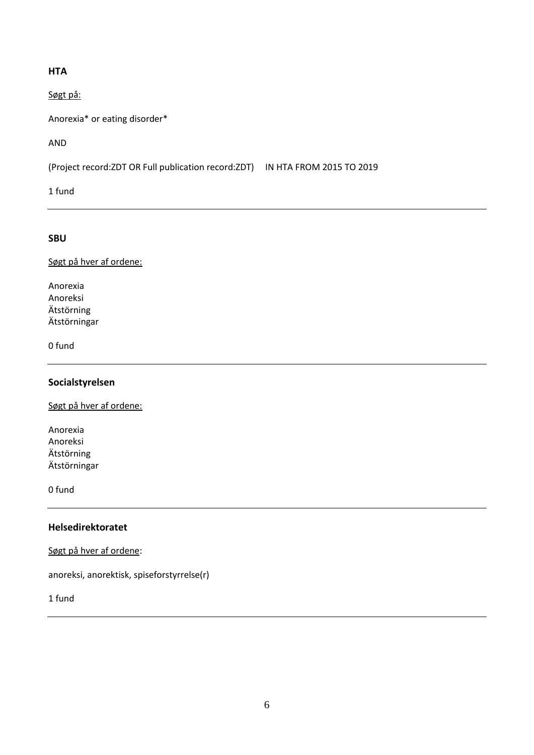## **HTA**

Søgt på:

Anorexia\* or eating disorder\*

AND

(Project record:ZDT OR Full publication record:ZDT) IN HTA FROM 2015 TO 2019

1 fund

## **SBU**

Søgt på hver af ordene:

Anorexia Anoreksi Ätstörning Ätstörningar

0 fund

## **Socialstyrelsen**

Søgt på hver af ordene:

Anorexia Anoreksi Ätstörning Ätstörningar

0 fund

# **Helsedirektoratet**

Søgt på hver af ordene:

anoreksi, anorektisk, spiseforstyrrelse(r)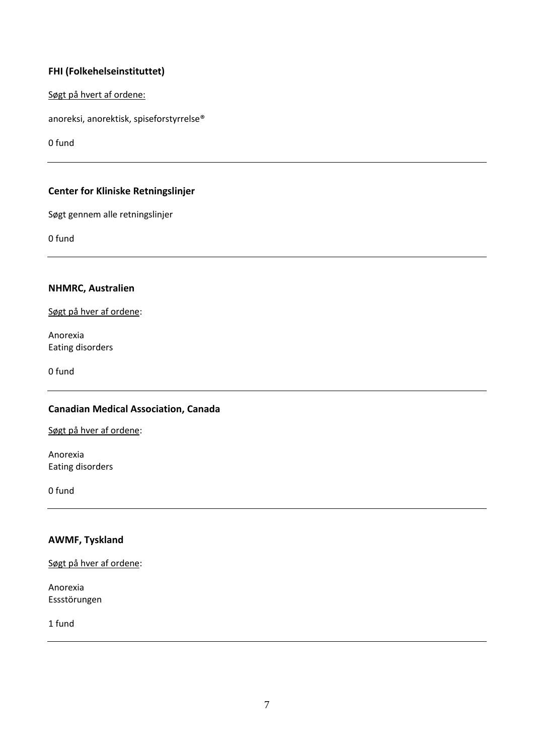## **FHI (Folkehelseinstituttet)**

Søgt på hvert af ordene:

anoreksi, anorektisk, spiseforstyrrelse®

0 fund

# **Center for Kliniske Retningslinjer**

Søgt gennem alle retningslinjer

0 fund

## **NHMRC, Australien**

Søgt på hver af ordene:

Anorexia Eating disorders

0 fund

# **Canadian Medical Association, Canada**

Søgt på hver af ordene:

Anorexia Eating disorders

0 fund

# **AWMF, Tyskland**

Søgt på hver af ordene:

Anorexia Essstörungen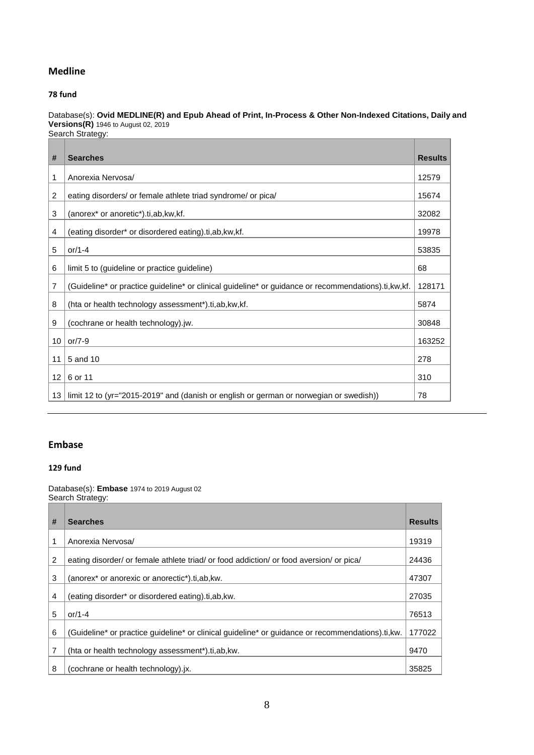## **Medline**

#### **fund**

Database(s): **Ovid MEDLINE(R) and Epub Ahead of Print, In-Process & Other Non-Indexed Citations, Daily and Versions(R)** 1946 to August 02, 2019 Search Strategy:

| #               | <b>Searches</b>                                                                                       | <b>Results</b> |
|-----------------|-------------------------------------------------------------------------------------------------------|----------------|
| 1               | Anorexia Nervosa/                                                                                     | 12579          |
| 2               | eating disorders/ or female athlete triad syndrome/ or pica/                                          | 15674          |
| 3               | (anorex* or anoretic*).ti, ab, kw, kf.                                                                | 32082          |
| 4               | (eating disorder* or disordered eating).ti, ab, kw, kf.                                               | 19978          |
| 5               | or/1-4                                                                                                | 53835          |
| 6               | limit 5 to (guideline or practice guideline)                                                          | 68             |
| 7               | (Guideline* or practice guideline* or clinical guideline* or guidance or recommendations).ti, kw, kf. | 128171         |
| 8               | (hta or health technology assessment*).ti,ab,kw,kf.                                                   | 5874           |
| 9               | (cochrane or health technology).jw.                                                                   | 30848          |
| 10              | or/ $7-9$                                                                                             | 163252         |
| 11              | 5 and 10                                                                                              | 278            |
| 12 <sup>°</sup> | 6 or 11                                                                                               | 310            |
| 13              | limit 12 to (yr="2015-2019" and (danish or english or german or norwegian or swedish))                | 78             |

## **Embase**

## **fund**

Database(s): **Embase** 1974 to 2019 August 02 Search Strategy:

| # | <b>Searches</b>                                                                                  | <b>Results</b> |
|---|--------------------------------------------------------------------------------------------------|----------------|
|   |                                                                                                  |                |
| 1 | Anorexia Nervosa/                                                                                | 19319          |
| 2 | eating disorder/ or female athlete triad/ or food addiction/ or food aversion/ or pica/          | 24436          |
| 3 | (anorex <sup>*</sup> or anorexic or anorectic <sup>*</sup> ).ti.ab.kw.                           | 47307          |
| 4 | (eating disorder* or disordered eating).ti, ab, kw.                                              | 27035          |
| 5 | or/1-4                                                                                           | 76513          |
| 6 | (Guideline* or practice quideline* or clinical quideline* or quidance or recommendations).ti.kw. | 177022         |
| 7 | (hta or health technology assessment*).ti,ab, kw.                                                | 9470           |
| 8 | (cochrane or health technology).jx.                                                              | 35825          |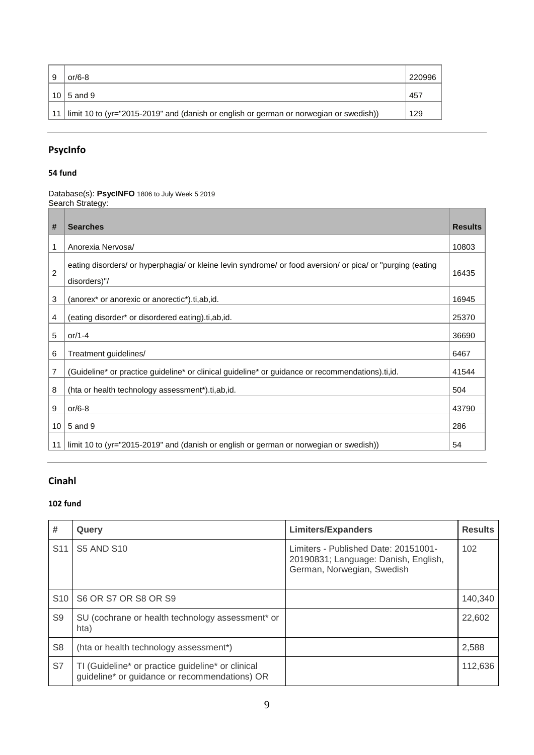| or/6-8                                                                                    | 1220996 |
|-------------------------------------------------------------------------------------------|---------|
| 10 $\mid$ 5 and 9                                                                         | 457     |
| 11 limit 10 to (yr="2015-2019" and (danish or english or german or norwegian or swedish)) | 129     |

# **PsycInfo**

## **54 fund**

Database(s): **PsycINFO** 1806 to July Week 5 2019 Search Strategy:

| #  | <b>Searches</b>                                                                                                            | <b>Results</b> |
|----|----------------------------------------------------------------------------------------------------------------------------|----------------|
| 1  | Anorexia Nervosa/                                                                                                          | 10803          |
| 2  | eating disorders/ or hyperphagia/ or kleine levin syndrome/ or food aversion/ or pica/ or "purging (eating<br>disorders)"/ | 16435          |
| 3  | (anorex <sup>*</sup> or anorexic or anorectic <sup>*</sup> ).ti,ab,id.                                                     | 16945          |
| 4  | (eating disorder* or disordered eating).ti,ab,id.                                                                          | 25370          |
| 5  | or/1-4                                                                                                                     | 36690          |
| 6  | Treatment guidelines/                                                                                                      | 6467           |
| 7  | (Guideline* or practice guideline* or clinical guideline* or guidance or recommendations).ti,id.                           | 41544          |
| 8  | (hta or health technology assessment*).ti,ab,id.                                                                           | 504            |
| 9  | or/6-8                                                                                                                     | 43790          |
| 10 | 5 and 9                                                                                                                    | 286            |
| 11 | limit 10 to (yr="2015-2019" and (danish or english or german or norwegian or swedish))                                     | 54             |

# **Cinahl**

| #               | Query                                                                                              | <b>Limiters/Expanders</b>                                                                                  | <b>Results</b> |
|-----------------|----------------------------------------------------------------------------------------------------|------------------------------------------------------------------------------------------------------------|----------------|
| S <sub>11</sub> | <b>S5 AND S10</b>                                                                                  | Limiters - Published Date: 20151001-<br>20190831; Language: Danish, English,<br>German, Norwegian, Swedish | 102            |
| S <sub>10</sub> | S6 OR S7 OR S8 OR S9                                                                               |                                                                                                            | 140,340        |
| S <sub>9</sub>  | SU (cochrane or health technology assessment* or<br>hta)                                           |                                                                                                            | 22,602         |
| S <sub>8</sub>  | (hta or health technology assessment*)                                                             |                                                                                                            | 2,588          |
| S7              | TI (Guideline* or practice guideline* or clinical<br>guideline* or guidance or recommendations) OR |                                                                                                            | 112,636        |